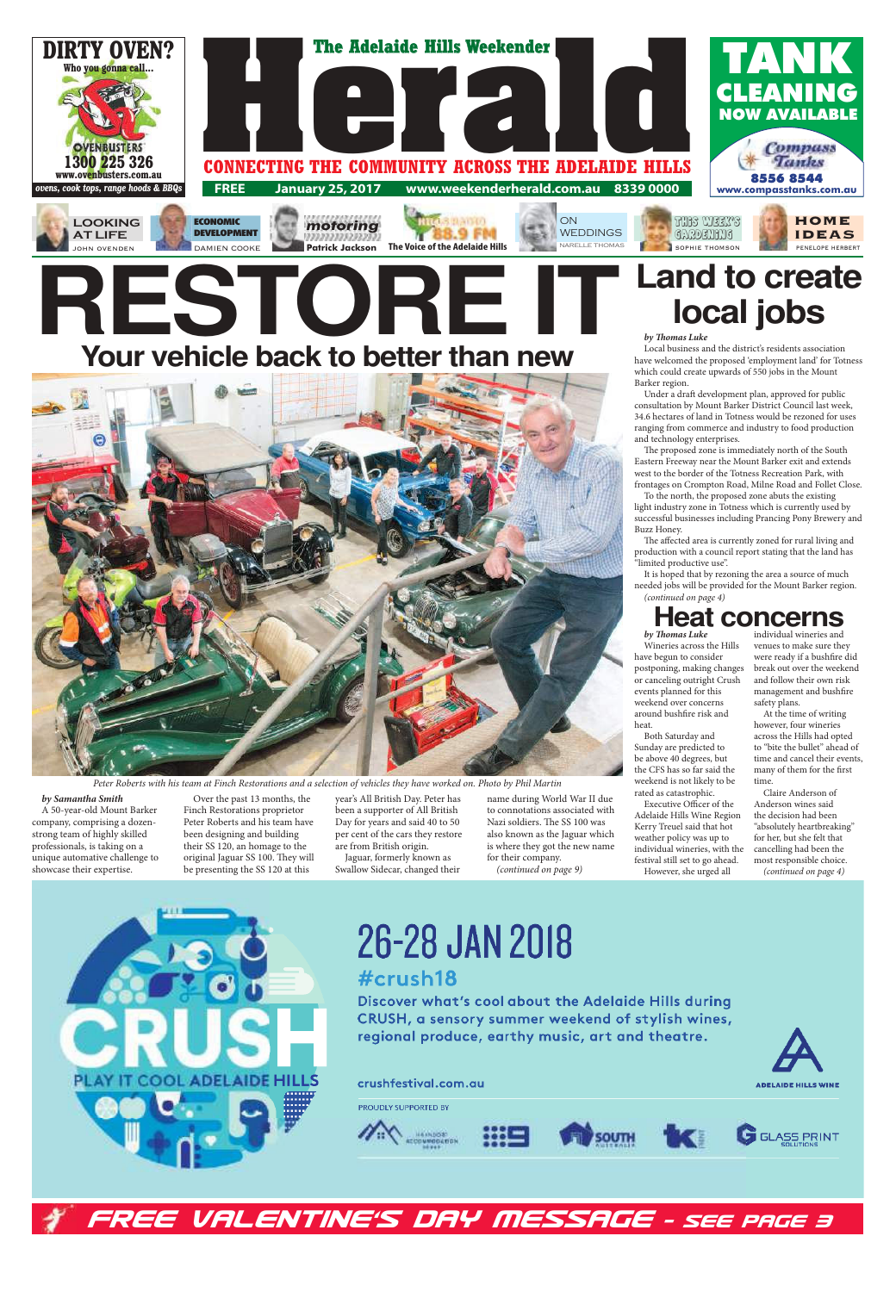

DAMIEN COOKE

### *FREE VALENTINE'S DAY MESSAGE - SEE PAGE 3*

Peter Roberts with his team at Finch Restorations and a selection of vehicles they have worked on. Photo by Phil Martin

# RESTORE **IT** Land to create **Your vehicle back to better than new**



**by Samantha Smith**  A 50-year-old Mount Barker company, comprising a dozenstrong team of highly skilled professionals, is taking on a unique automative challenge to showcase their expertise.

Over the past 13 months, the Finch Restorations proprietor Peter Roberts and his team have been designing and building their SS 120, an homage to the original Jaguar SS 100. They will be presenting the SS 120 at this

The proposed zone is immediately north of the South Eastern Freeway near the Mount Barker exit and extends west to the border of the Totness Recreation Park, with frontages on Crompton Road, Milne Road and Follet Close.

year's All British Day. Peter has been a supporter of All British Day for years and said 40 to 50 per cent of the cars they restore are from British origin.

The affected area is currently zoned for rural living and production with a council report stating that the land has "limited productive use".

Jaguar, formerly known as Swallow Sidecar, changed their name during World War II due to connotations associated with Nazi soldiers. The SS 100 was also known as the Jaguar which is where they got the new name for their company. (continued on page 9)

# **local jobs**

Executive Officer of the Adelaide Hills Wine Region Kerry Treuel said that hot weather policy was up to

**by - omas Luke**

Local business and the district's residents association have welcomed the proposed 'employment land' for Totness which could create upwards of 550 jobs in the Mount Barker region.

> At the time of writing however, four wineries across the Hills had opted to "bite the bullet" ahead of time and cancel their events, many of them for the first

Under a draft development plan, approved for public consultation by Mount Barker District Council last week, 34.6 hectares of land in Totness would be rezoned for uses ranging from commerce and industry to food production and technology enterprises.

To the north, the proposed zone abuts the existing light industry zone in Totness which is currently used by successful businesses including Prancing Pony Brewery and Buzz Honey.

It is hoped that by rezoning the area a source of much needed jobs will be provided for the Mount Barker region. (continued on page 4)

## **Heat concerns**

**by - omas Luke** Wineries across the Hills have begun to consider postponing, making changes or canceling outright Crush events planned for this weekend over concerns around bushfire risk and heat.

Both Saturday and Sunday are predicted to be above 40 degrees, but the CFS has so far said the weekend is not likely to be rated as catastrophic.

festival still set to go ahead. However, she urged all

individual wineries and venues to make sure they were ready if a bushfire did break out over the weekend and follow their own risk management and bushfire safety plans.

individual wineries, with the time.

**ADELAIDE HILLS WINE** 



### crushfestival.com.au

PROUDLY SUPPORTED BY



Claire Anderson of Anderson wines said the decision had been "absolutely heartbreaking" for her, but she felt that cancelling had been the most responsible choice. (continued on page 4)



26-28 JAN 2018 #crush18

Discover what's cool about the Adelaide Hills during CRUSH, a sensory summer weekend of stylish wines, regional produce, earthy music, art and theatre.